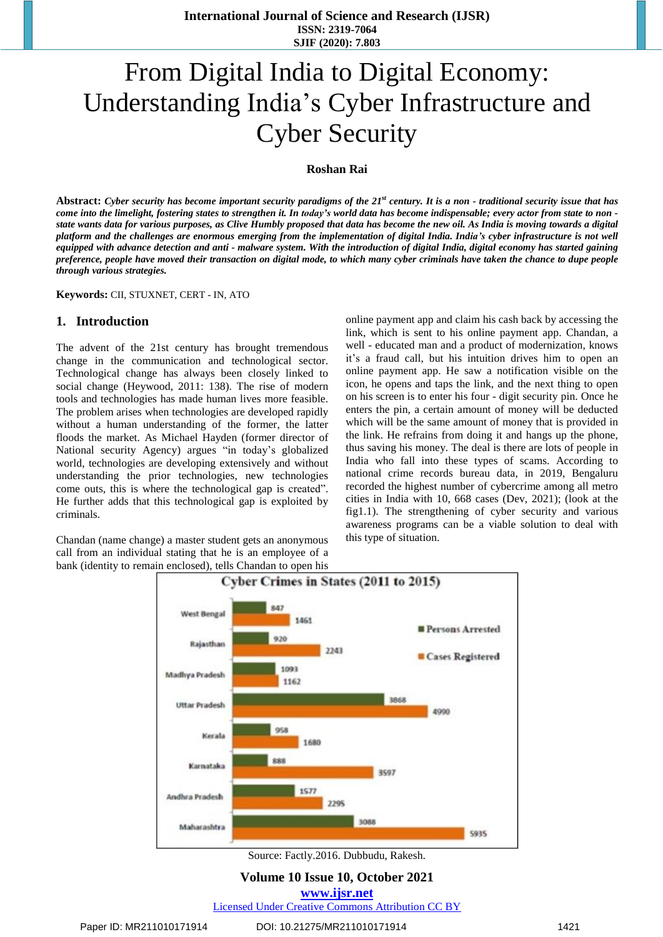# From Digital India to Digital Economy: Understanding India's Cyber Infrastructure and Cyber Security

#### **Roshan Rai**

Abstract: Cyber security has become important security paradigms of the 21<sup>st</sup> century. It is a non - traditional security issue that has come into the limelight, fostering states to strengthen it. In today's world data has become indispensable; every actor from state to non state wants data for various purposes, as Clive Humbly proposed that data has become the new oil. As India is moving towards a digital platform and the challenges are enormous emerging from the implementation of digital India. India's cyber infrastructure is not well equipped with advance detection and anti - malware system. With the introduction of digital India, digital economy has started gaining preference, people have moved their transaction on digital mode, to which many cyber criminals have taken the chance to dupe people *through various strategies.* 

**Keywords:** CII, STUXNET, CERT - IN, ATO

#### **1. Introduction**

The advent of the 21st century has brought tremendous change in the communication and technological sector. Technological change has always been closely linked to social change (Heywood, 2011: 138). The rise of modern tools and technologies has made human lives more feasible. The problem arises when technologies are developed rapidly without a human understanding of the former, the latter floods the market. As Michael Hayden (former director of National security Agency) argues "in today's globalized world, technologies are developing extensively and without understanding the prior technologies, new technologies come outs, this is where the technological gap is created". He further adds that this technological gap is exploited by criminals.

Chandan (name change) a master student gets an anonymous call from an individual stating that he is an employee of a bank (identity to remain enclosed), tells Chandan to open his online payment app and claim his cash back by accessing the link, which is sent to his online payment app. Chandan, a well - educated man and a product of modernization, knows it's a fraud call, but his intuition drives him to open an online payment app. He saw a notification visible on the icon, he opens and taps the link, and the next thing to open on his screen is to enter his four - digit security pin. Once he enters the pin, a certain amount of money will be deducted which will be the same amount of money that is provided in the link. He refrains from doing it and hangs up the phone, thus saving his money. The deal is there are lots of people in India who fall into these types of scams. According to national crime records bureau data, in 2019, Bengaluru recorded the highest number of cybercrime among all metro cities in India with 10, 668 cases (Dev, 2021); (look at the fig1.1). The strengthening of cyber security and various awareness programs can be a viable solution to deal with this type of situation.



Source: Factly.2016. Dubbudu, Rakesh.

#### **Volume 10 Issue 10, October 2021**

**www.ijsr.net**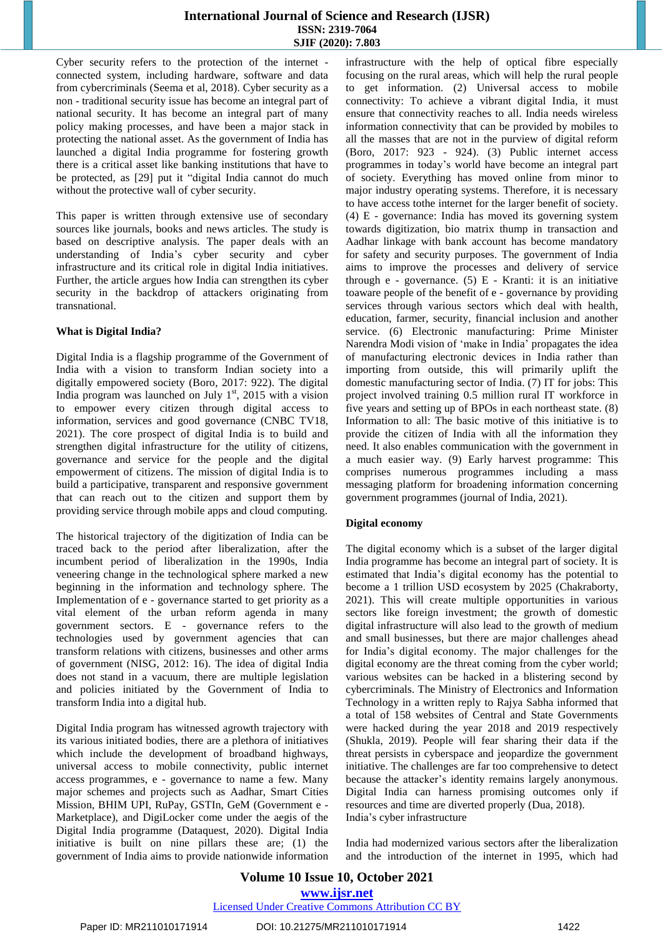# **International Journal of Science and Research (IJSR) ISSN: 2319-7064 SJIF (2020): 7.803**

Cyber security refers to the protection of the internet connected system, including hardware, software and data from cybercriminals (Seema et al, 2018). Cyber security as a non - traditional security issue has become an integral part of national security. It has become an integral part of many policy making processes, and have been a major stack in protecting the national asset. As the government of India has launched a digital India programme for fostering growth there is a critical asset like banking institutions that have to be protected, as [29] put it "digital India cannot do much without the protective wall of cyber security.

This paper is written through extensive use of secondary sources like journals, books and news articles. The study is based on descriptive analysis. The paper deals with an understanding of India's cyber security and cyber infrastructure and its critical role in digital India initiatives. Further, the article argues how India can strengthen its cyber security in the backdrop of attackers originating from transnational.

#### **What is Digital India?**

Digital India is a flagship programme of the Government of India with a vision to transform Indian society into a digitally empowered society (Boro, 2017: 922). The digital India program was launched on July  $1<sup>st</sup>$ , 2015 with a vision to empower every citizen through digital access to information, services and good governance (CNBC TV18, 2021). The core prospect of digital India is to build and strengthen digital infrastructure for the utility of citizens, governance and service for the people and the digital empowerment of citizens. The mission of digital India is to build a participative, transparent and responsive government that can reach out to the citizen and support them by providing service through mobile apps and cloud computing.

The historical trajectory of the digitization of India can be traced back to the period after liberalization, after the incumbent period of liberalization in the 1990s, India veneering change in the technological sphere marked a new beginning in the information and technology sphere. The Implementation of e - governance started to get priority as a vital element of the urban reform agenda in many government sectors. E - governance refers to the technologies used by government agencies that can transform relations with citizens, businesses and other arms of government (NISG, 2012: 16). The idea of digital India does not stand in a vacuum, there are multiple legislation and policies initiated by the Government of India to transform India into a digital hub.

Digital India program has witnessed agrowth trajectory with its various initiated bodies, there are a plethora of initiatives which include the development of broadband highways, universal access to mobile connectivity, public internet access programmes, e - governance to name a few. Many major schemes and projects such as Aadhar, Smart Cities Mission, BHIM UPI, RuPay, GSTIn, GeM (Government e - Marketplace), and DigiLocker come under the aegis of the Digital India programme (Dataquest, 2020). Digital India initiative is built on nine pillars these are; (1) the government of India aims to provide nationwide information infrastructure with the help of optical fibre especially focusing on the rural areas, which will help the rural people to get information. (2) Universal access to mobile connectivity: To achieve a vibrant digital India, it must ensure that connectivity reaches to all. India needs wireless information connectivity that can be provided by mobiles to all the masses that are not in the purview of digital reform (Boro, 2017: 923 - 924). (3) Public internet access programmes in today's world have become an integral part of society. Everything has moved online from minor to major industry operating systems. Therefore, it is necessary to have access tothe internet for the larger benefit of society. (4) E - governance: India has moved its governing system towards digitization, bio matrix thump in transaction and Aadhar linkage with bank account has become mandatory for safety and security purposes. The government of India aims to improve the processes and delivery of service through e - governance. (5) E - Kranti: it is an initiative toaware people of the benefit of e - governance by providing services through various sectors which deal with health, education, farmer, security, financial inclusion and another service. (6) Electronic manufacturing: Prime Minister Narendra Modi vision of 'make in India' propagates the idea of manufacturing electronic devices in India rather than importing from outside, this will primarily uplift the domestic manufacturing sector of India. (7) IT for jobs: This project involved training 0.5 million rural IT workforce in five years and setting up of BPOs in each northeast state. (8) Information to all: The basic motive of this initiative is to provide the citizen of India with all the information they need. It also enables communication with the government in a much easier way. (9) Early harvest programme: This comprises numerous programmes including a mass messaging platform for broadening information concerning government programmes (journal of India, 2021).

# **Digital economy**

The digital economy which is a subset of the larger digital India programme has become an integral part of society. It is estimated that India's digital economy has the potential to become a 1 trillion USD ecosystem by 2025 (Chakraborty, 2021). This will create multiple opportunities in various sectors like foreign investment; the growth of domestic digital infrastructure will also lead to the growth of medium and small businesses, but there are major challenges ahead for India's digital economy. The major challenges for the digital economy are the threat coming from the cyber world; various websites can be hacked in a blistering second by cybercriminals. The Ministry of Electronics and Information Technology in a written reply to Rajya Sabha informed that a total of 158 websites of Central and State Governments were hacked during the year 2018 and 2019 respectively (Shukla, 2019). People will fear sharing their data if the threat persists in cyberspace and jeopardize the government initiative. The challenges are far too comprehensive to detect because the attacker's identity remains largely anonymous. Digital India can harness promising outcomes only if resources and time are diverted properly (Dua, 2018). India's cyber infrastructure

India had modernized various sectors after the liberalization and the introduction of the internet in 1995, which had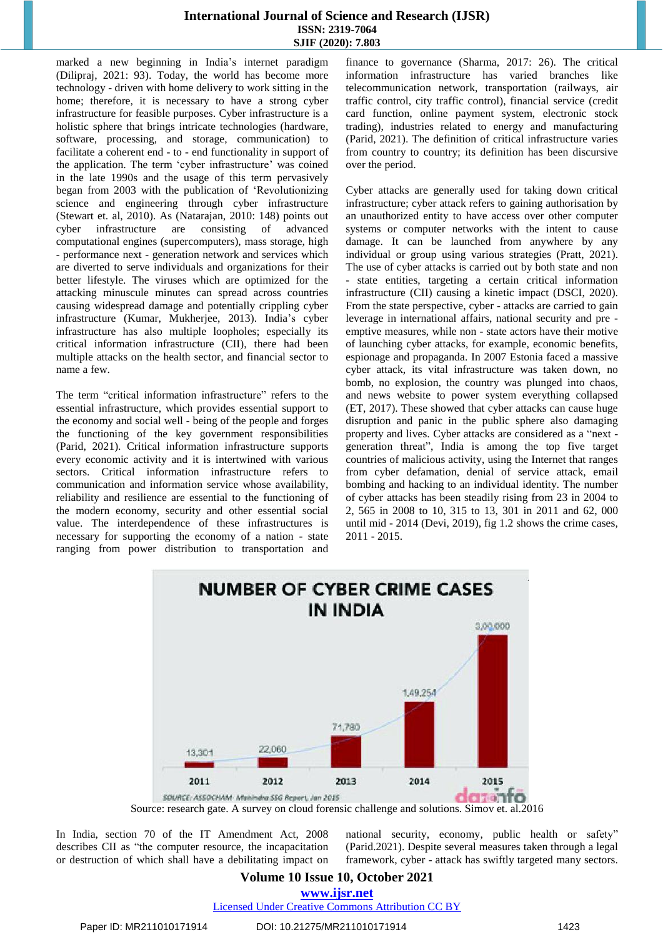### **International Journal of Science and Research (IJSR) ISSN: 2319-7064 SJIF (2020): 7.803**

marked a new beginning in India's internet paradigm (Dilipraj, 2021: 93). Today, the world has become more technology - driven with home delivery to work sitting in the home; therefore, it is necessary to have a strong cyber infrastructure for feasible purposes. Cyber infrastructure is a holistic sphere that brings intricate technologies (hardware, software, processing, and storage, communication) to facilitate a coherent end - to - end functionality in support of the application. The term 'cyber infrastructure' was coined in the late 1990s and the usage of this term pervasively began from 2003 with the publication of 'Revolutionizing science and engineering through cyber infrastructure (Stewart et. al, 2010). As (Natarajan, 2010: 148) points out cyber infrastructure are consisting of advanced computational engines (supercomputers), mass storage, high - performance next - generation network and services which are diverted to serve individuals and organizations for their better lifestyle. The viruses which are optimized for the attacking minuscule minutes can spread across countries causing widespread damage and potentially crippling cyber infrastructure (Kumar, Mukherjee, 2013). India's cyber infrastructure has also multiple loopholes; especially its critical information infrastructure (CII), there had been multiple attacks on the health sector, and financial sector to name a few.

The term "critical information infrastructure" refers to the essential infrastructure, which provides essential support to the economy and social well - being of the people and forges the functioning of the key government responsibilities (Parid, 2021). Critical information infrastructure supports every economic activity and it is intertwined with various sectors. Critical information infrastructure refers to communication and information service whose availability, reliability and resilience are essential to the functioning of the modern economy, security and other essential social value. The interdependence of these infrastructures is necessary for supporting the economy of a nation - state ranging from power distribution to transportation and finance to governance (Sharma, 2017: 26). The critical information infrastructure has varied branches like telecommunication network, transportation (railways, air traffic control, city traffic control), financial service (credit card function, online payment system, electronic stock trading), industries related to energy and manufacturing (Parid, 2021). The definition of critical infrastructure varies from country to country; its definition has been discursive over the period.

Cyber attacks are generally used for taking down critical infrastructure; cyber attack refers to gaining authorisation by an unauthorized entity to have access over other computer systems or computer networks with the intent to cause damage. It can be launched from anywhere by any individual or group using various strategies (Pratt, 2021). The use of cyber attacks is carried out by both state and non - state entities, targeting a certain critical information infrastructure (CII) causing a kinetic impact (DSCI, 2020). From the state perspective, cyber - attacks are carried to gain leverage in international affairs, national security and pre emptive measures, while non - state actors have their motive of launching cyber attacks, for example, economic benefits, espionage and propaganda. In 2007 Estonia faced a massive cyber attack, its vital infrastructure was taken down, no bomb, no explosion, the country was plunged into chaos, and news website to power system everything collapsed (ET, 2017). These showed that cyber attacks can cause huge disruption and panic in the public sphere also damaging property and lives. Cyber attacks are considered as a "next generation threat", India is among the top five target countries of malicious activity, using the Internet that ranges from cyber defamation, denial of service attack, email bombing and hacking to an individual identity. The number of cyber attacks has been steadily rising from 23 in 2004 to 2, 565 in 2008 to 10, 315 to 13, 301 in 2011 and 62, 000 until mid - 2014 (Devi, 2019), fig 1.2 shows the crime cases, 2011 - 2015.



Source: research gate. A survey on cloud forensic challenge and solutions. Simov et. al.2016

In India, section 70 of the IT Amendment Act, 2008 describes CII as "the computer resource, the incapacitation or destruction of which shall have a debilitating impact on national security, economy, public health or safety" (Parid.2021). Despite several measures taken through a legal framework, cyber - attack has swiftly targeted many sectors.

# **Volume 10 Issue 10, October 2021**

**www.ijsr.net**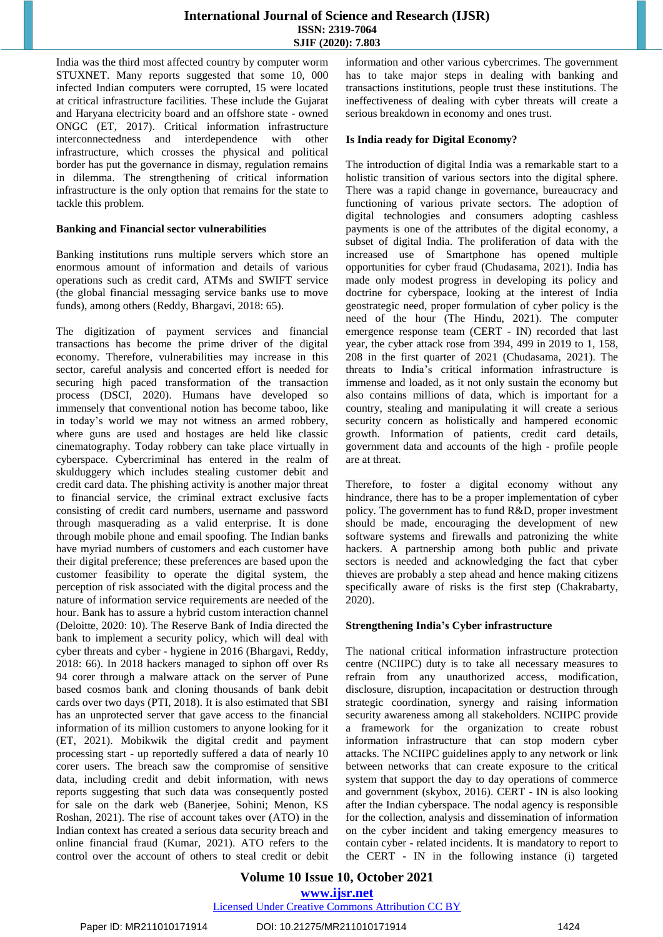India was the third most affected country by computer worm STUXNET. Many reports suggested that some 10, 000 infected Indian computers were corrupted, 15 were located at critical infrastructure facilities. These include the Gujarat and Haryana electricity board and an offshore state - owned ONGC (ET, 2017). Critical information infrastructure interconnectedness and interdependence with other infrastructure, which crosses the physical and political border has put the governance in dismay, regulation remains in dilemma. The strengthening of critical information infrastructure is the only option that remains for the state to tackle this problem.

#### **Banking and Financial sector vulnerabilities**

Banking institutions runs multiple servers which store an enormous amount of information and details of various operations such as credit card, ATMs and SWIFT service (the global financial messaging service banks use to move funds), among others (Reddy, Bhargavi, 2018: 65).

The digitization of payment services and financial transactions has become the prime driver of the digital economy. Therefore, vulnerabilities may increase in this sector, careful analysis and concerted effort is needed for securing high paced transformation of the transaction process (DSCI, 2020). Humans have developed so immensely that conventional notion has become taboo, like in today's world we may not witness an armed robbery, where guns are used and hostages are held like classic cinematography. Today robbery can take place virtually in cyberspace. Cybercriminal has entered in the realm of skulduggery which includes stealing customer debit and credit card data. The phishing activity is another major threat to financial service, the criminal extract exclusive facts consisting of credit card numbers, username and password through masquerading as a valid enterprise. It is done through mobile phone and email spoofing. The Indian banks have myriad numbers of customers and each customer have their digital preference; these preferences are based upon the customer feasibility to operate the digital system, the perception of risk associated with the digital process and the nature of information service requirements are needed of the hour. Bank has to assure a hybrid custom interaction channel (Deloitte, 2020: 10). The Reserve Bank of India directed the bank to implement a security policy, which will deal with cyber threats and cyber - hygiene in 2016 (Bhargavi, Reddy, 2018: 66). In 2018 hackers managed to siphon off over Rs 94 corer through a malware attack on the server of Pune based cosmos bank and cloning thousands of bank debit cards over two days (PTI, 2018). It is also estimated that SBI has an unprotected server that gave access to the financial information of its million customers to anyone looking for it (ET, 2021). Mobikwik the digital credit and payment processing start - up reportedly suffered a data of nearly 10 corer users. The breach saw the compromise of sensitive data, including credit and debit information, with news reports suggesting that such data was consequently posted for sale on the dark web (Banerjee, Sohini; Menon, KS Roshan, 2021). The rise of account takes over (ATO) in the Indian context has created a serious data security breach and online financial fraud (Kumar, 2021). ATO refers to the control over the account of others to steal credit or debit information and other various cybercrimes. The government has to take major steps in dealing with banking and transactions institutions, people trust these institutions. The ineffectiveness of dealing with cyber threats will create a serious breakdown in economy and ones trust.

# **Is India ready for Digital Economy?**

The introduction of digital India was a remarkable start to a holistic transition of various sectors into the digital sphere. There was a rapid change in governance, bureaucracy and functioning of various private sectors. The adoption of digital technologies and consumers adopting cashless payments is one of the attributes of the digital economy, a subset of digital India. The proliferation of data with the increased use of Smartphone has opened multiple opportunities for cyber fraud (Chudasama, 2021). India has made only modest progress in developing its policy and doctrine for cyberspace, looking at the interest of India geostrategic need, proper formulation of cyber policy is the need of the hour (The Hindu, 2021). The computer emergence response team (CERT - IN) recorded that last year, the cyber attack rose from 394, 499 in 2019 to 1, 158, 208 in the first quarter of 2021 (Chudasama, 2021). The threats to India's critical information infrastructure is immense and loaded, as it not only sustain the economy but also contains millions of data, which is important for a country, stealing and manipulating it will create a serious security concern as holistically and hampered economic growth. Information of patients, credit card details, government data and accounts of the high - profile people are at threat.

Therefore, to foster a digital economy without any hindrance, there has to be a proper implementation of cyber policy. The government has to fund R&D, proper investment should be made, encouraging the development of new software systems and firewalls and patronizing the white hackers. A partnership among both public and private sectors is needed and acknowledging the fact that cyber thieves are probably a step ahead and hence making citizens specifically aware of risks is the first step (Chakrabarty, 2020).

# **Strengthening India's Cyber infrastructure**

The national critical information infrastructure protection centre (NCIIPC) duty is to take all necessary measures to refrain from any unauthorized access, modification, disclosure, disruption, incapacitation or destruction through strategic coordination, synergy and raising information security awareness among all stakeholders. NCIIPC provide a framework for the organization to create robust information infrastructure that can stop modern cyber attacks. The NCIIPC guidelines apply to any network or link between networks that can create exposure to the critical system that support the day to day operations of commerce and government (skybox, 2016). CERT - IN is also looking after the Indian cyberspace. The nodal agency is responsible for the collection, analysis and dissemination of information on the cyber incident and taking emergency measures to contain cyber - related incidents. It is mandatory to report to the CERT - IN in the following instance (i) targeted

# **Volume 10 Issue 10, October 2021**

**www.ijsr.net**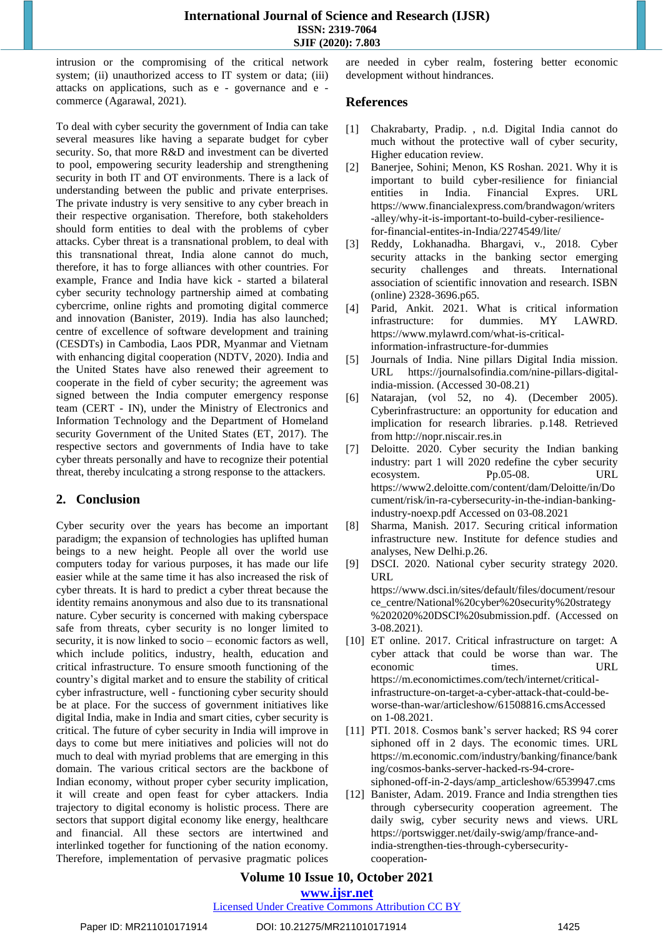# **International Journal of Science and Research (IJSR) ISSN: 2319-7064 SJIF (2020): 7.803**

intrusion or the compromising of the critical network system; (ii) unauthorized access to IT system or data; (iii) attacks on applications, such as e - governance and e commerce (Agarawal, 2021).

To deal with cyber security the government of India can take several measures like having a separate budget for cyber security. So, that more R&D and investment can be diverted to pool, empowering security leadership and strengthening security in both IT and OT environments. There is a lack of understanding between the public and private enterprises. The private industry is very sensitive to any cyber breach in their respective organisation. Therefore, both stakeholders should form entities to deal with the problems of cyber attacks. Cyber threat is a transnational problem, to deal with this transnational threat, India alone cannot do much, therefore, it has to forge alliances with other countries. For example, France and India have kick - started a bilateral cyber security technology partnership aimed at combating cybercrime, online rights and promoting digital commerce and innovation (Banister, 2019). India has also launched; centre of excellence of software development and training (CESDTs) in Cambodia, Laos PDR, Myanmar and Vietnam with enhancing digital cooperation (NDTV, 2020). India and the United States have also renewed their agreement to cooperate in the field of cyber security; the agreement was signed between the India computer emergency response team (CERT - IN), under the Ministry of Electronics and Information Technology and the Department of Homeland security Government of the United States (ET, 2017). The respective sectors and governments of India have to take cyber threats personally and have to recognize their potential threat, thereby inculcating a strong response to the attackers.

# **2. Conclusion**

Cyber security over the years has become an important paradigm; the expansion of technologies has uplifted human beings to a new height. People all over the world use computers today for various purposes, it has made our life easier while at the same time it has also increased the risk of cyber threats. It is hard to predict a cyber threat because the identity remains anonymous and also due to its transnational nature. Cyber security is concerned with making cyberspace safe from threats, cyber security is no longer limited to security, it is now linked to socio – economic factors as well, which include politics, industry, health, education and critical infrastructure. To ensure smooth functioning of the country's digital market and to ensure the stability of critical cyber infrastructure, well - functioning cyber security should be at place. For the success of government initiatives like digital India, make in India and smart cities, cyber security is critical. The future of cyber security in India will improve in days to come but mere initiatives and policies will not do much to deal with myriad problems that are emerging in this domain. The various critical sectors are the backbone of Indian economy, without proper cyber security implication, it will create and open feast for cyber attackers. India trajectory to digital economy is holistic process. There are sectors that support digital economy like energy, healthcare and financial. All these sectors are intertwined and interlinked together for functioning of the nation economy. Therefore, implementation of pervasive pragmatic polices are needed in cyber realm, fostering better economic development without hindrances.

# **References**

- [1] Chakrabarty, Pradip. , n.d. Digital India cannot do much without the protective wall of cyber security, Higher education review.
- [2] Banerjee, Sohini; Menon, KS Roshan. 2021. Why it is important to build cyber-resilience for finiancial entities in India. Financial Expres. URL [https://www.financialexpress.com/brandwagon/writers](https://www.financialexpress.com/brandwagon/writers-alley/why-it-is-important-to-build-cyber-resilience-for-financial-entites-in-India/2274549/lite/) [-alley/why-it-is-important-to-build-cyber-resilience](https://www.financialexpress.com/brandwagon/writers-alley/why-it-is-important-to-build-cyber-resilience-for-financial-entites-in-India/2274549/lite/)[for-financial-entites-in-India/2274549/lite/](https://www.financialexpress.com/brandwagon/writers-alley/why-it-is-important-to-build-cyber-resilience-for-financial-entites-in-India/2274549/lite/)
- [3] Reddy, Lokhanadha. Bhargavi, v., 2018. Cyber security attacks in the banking sector emerging security challenges and threats. International association of scientific innovation and research. ISBN (online) 2328-3696.p65.
- Parid, Ankit. 2021. What is critical information infrastructure: for dummies. MY LAWRD. [https://www.mylawrd.com/what-is-critical](https://www.mylawrd.com/what-is-critical-information-infrastructure-for-dummies)[information-infrastructure-for-dummies](https://www.mylawrd.com/what-is-critical-information-infrastructure-for-dummies)
- [5] Journals of India. Nine pillars Digital India mission. URL [https://journalsofindia.com/nine-pillars-digital](https://journalsofindia.com/nine-pillars-digital-india-mission)[india-mission.](https://journalsofindia.com/nine-pillars-digital-india-mission) (Accessed 30-08.21)
- [6] Natarajan, (vol 52, no 4). (December 2005). Cyberinfrastructure: an opportunity for education and implication for research libraries. p.148. Retrieved from [http://nopr.niscair.res.in](http://nopr.niscair.res.in/)
- [7] Deloitte. 2020. Cyber security the Indian banking industry: part 1 will 2020 redefine the cyber security ecosystem. Pp.05-08. URL [https://www2.deloitte.com/content/dam/Deloitte/in/Do](https://www2.deloitte.com/content/dam/Deloitte/in/Document/risk/in-ra-cybersecurity-in-the-indian-banking-industry-noexp.pdf) [cument/risk/in-ra-cybersecurity-in-the-indian-banking](https://www2.deloitte.com/content/dam/Deloitte/in/Document/risk/in-ra-cybersecurity-in-the-indian-banking-industry-noexp.pdf)[industry-noexp.pdf](https://www2.deloitte.com/content/dam/Deloitte/in/Document/risk/in-ra-cybersecurity-in-the-indian-banking-industry-noexp.pdf) Accessed on 03-08.2021
- [8] Sharma, Manish. 2017. Securing critical information infrastructure new. Institute for defence studies and analyses, New Delhi.p.26.
- [9] DSCI. 2020. National cyber security strategy 2020. URL [https://www.dsci.in/sites/default/files/document/resour](https://www.dsci.in/sites/default/files/document/resource_centre/National%20cyber%20security%20strategy%202020%20DSCI%20submission.pdf) [ce\\_centre/National%20cyber%20security%20strategy](https://www.dsci.in/sites/default/files/document/resource_centre/National%20cyber%20security%20strategy%202020%20DSCI%20submission.pdf) [%202020%20DSCI%20submission.pdf.](https://www.dsci.in/sites/default/files/document/resource_centre/National%20cyber%20security%20strategy%202020%20DSCI%20submission.pdf) (Accessed on 3-08.2021).
- [10] ET online. 2017. Critical infrastructure on target: A cyber attack that could be worse than war. The economic times. URL [https://m.economictimes.com/tech/internet/critical](https://m.economictimes.com/tech/internet/critical-infrastructure-on-target-a-cyber-attack-that-could-be-worse-than-war/articleshow/61508816.cms)[infrastructure-on-target-a-cyber-attack-that-could-be](https://m.economictimes.com/tech/internet/critical-infrastructure-on-target-a-cyber-attack-that-could-be-worse-than-war/articleshow/61508816.cms)[worse-than-war/articleshow/61508816.cmsA](https://m.economictimes.com/tech/internet/critical-infrastructure-on-target-a-cyber-attack-that-could-be-worse-than-war/articleshow/61508816.cms)ccessed on 1-08.2021.
- [11] PTI. 2018. Cosmos bank's server hacked; RS 94 corer siphoned off in 2 days. The economic times. URL [https://m.economic.com/industry/banking/finance/bank](https://m.economic.com/industry/banking/finance/banking/cosmos-banks-server-hacked-rs-94-crore-siphoned-off-in-2-days/amp_articleshow/6539947.cms) [ing/cosmos-banks-server-hacked-rs-94-crore](https://m.economic.com/industry/banking/finance/banking/cosmos-banks-server-hacked-rs-94-crore-siphoned-off-in-2-days/amp_articleshow/6539947.cms)[siphoned-off-in-2-days/amp\\_articleshow/6539947.cms](https://m.economic.com/industry/banking/finance/banking/cosmos-banks-server-hacked-rs-94-crore-siphoned-off-in-2-days/amp_articleshow/6539947.cms)
- [12] Banister, Adam. 2019. France and India strengthen ties through cybersecurity cooperation agreement. The daily swig, cyber security news and views. URL [https://portswigger.net/daily-swig/amp/france-and](https://portswigger.net/daily-swig/amp/france-and-india-strengthen-ties-through-cybersecurity-cooperation-agreement#aoh=16273777777852&referrer=https%3A%2F%2Fwww.google.com&_tf=From%20%251%24s)[india-strengthen-ties-through-cybersecurity](https://portswigger.net/daily-swig/amp/france-and-india-strengthen-ties-through-cybersecurity-cooperation-agreement#aoh=16273777777852&referrer=https%3A%2F%2Fwww.google.com&_tf=From%20%251%24s)[cooperation-](https://portswigger.net/daily-swig/amp/france-and-india-strengthen-ties-through-cybersecurity-cooperation-agreement#aoh=16273777777852&referrer=https%3A%2F%2Fwww.google.com&_tf=From%20%251%24s)

# **Volume 10 Issue 10, October 2021**

**www.ijsr.net**